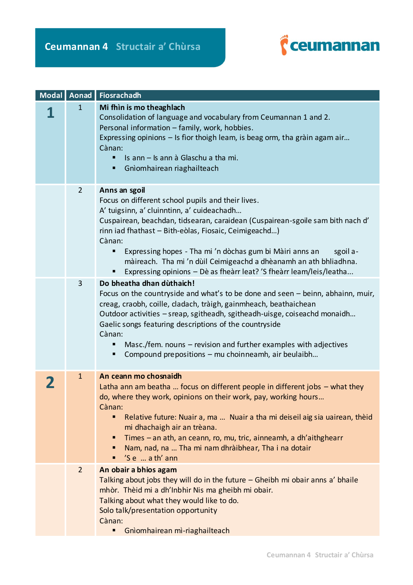

| Modal Aonad    | Fiosrachadh                                                                                                                                                                                                                                                                                                                                                                                                                                                                               |
|----------------|-------------------------------------------------------------------------------------------------------------------------------------------------------------------------------------------------------------------------------------------------------------------------------------------------------------------------------------------------------------------------------------------------------------------------------------------------------------------------------------------|
| $\mathbf{1}$   | Mi fhìn is mo theaghlach<br>Consolidation of language and vocabulary from Ceumannan 1 and 2.<br>Personal information - family, work, hobbies.<br>Expressing opinions - Is fior thoigh leam, is beag orm, tha gràin agam air<br>Cànan:<br>Is ann - Is ann à Glaschu a tha mi.<br>Gnìomhairean riaghailteach                                                                                                                                                                                |
| $\overline{2}$ | Anns an sgoil<br>Focus on different school pupils and their lives.<br>A' tuigsinn, a' cluinntinn, a' cuideachadh<br>Cuspairean, beachdan, tidsearan, caraidean (Cuspairean-sgoile sam bith nach d'<br>rinn iad fhathast - Bith-eòlas, Fiosaic, Ceimigeachd)<br>Cànan:<br>Expressing hopes - Tha mi 'n dòchas gum bi Màiri anns an<br>sgoil a-<br>màireach. Tha mi 'n dùil Ceimigeachd a dhèanamh an ath bhliadhna.<br>Expressing opinions - Dè as fheàrr leat? 'S fheàrr leam/leis/leatha |
| 3              | Do bheatha dhan dùthaich!<br>Focus on the countryside and what's to be done and seen - beinn, abhainn, muir,<br>creag, craobh, coille, cladach, tràigh, gainmheach, beathaichean<br>Outdoor activities - sreap, sgitheadh, sgitheadh-uisge, coiseachd monaidh<br>Gaelic songs featuring descriptions of the countryside<br>Cànan:<br>Masc./fem. nouns - revision and further examples with adjectives<br>Compound prepositions - mu choinneamh, air beulaibh                              |
| $\mathbf{1}$   | An ceann mo chosnaidh<br>Latha ann am beatha  focus on different people in different jobs $-$ what they<br>do, where they work, opinions on their work, pay, working hours<br>Cànan:<br>Relative future: Nuair a, ma  Nuair a tha mi deiseil aig sia uairean, thèid<br>mi dhachaigh air an trèana.<br>Times – an ath, an ceann, ro, mu, tric, ainneamh, a dh'aithghearr<br>п<br>Nam, nad, na  Tha mi nam dhràibhear, Tha i na dotair<br>'S e  a th' ann                                   |
| $\overline{2}$ | An obair a bhios agam<br>Talking about jobs they will do in the future - Gheibh mi obair anns a' bhaile<br>mhòr. Thèid mi a dh'Inbhir Nis ma gheibh mi obair.<br>Talking about what they would like to do.<br>Solo talk/presentation opportunity<br>Cànan:<br>Gnìomhairean mì-riaghailteach                                                                                                                                                                                               |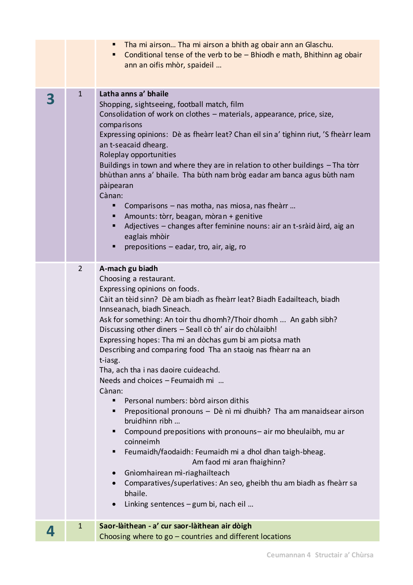|   |                | Tha mi airson Tha mi airson a bhith ag obair ann an Glaschu.<br>п<br>Conditional tense of the verb to be $-$ Bhiodh e math, Bhithinn ag obair<br>٠<br>ann an oifis mhòr, spaideil                                                                                                                                                                                                                                                                                                                                                                                                                                                                                                                                                                                                                                                                                                                                                                                                                                                                                         |
|---|----------------|---------------------------------------------------------------------------------------------------------------------------------------------------------------------------------------------------------------------------------------------------------------------------------------------------------------------------------------------------------------------------------------------------------------------------------------------------------------------------------------------------------------------------------------------------------------------------------------------------------------------------------------------------------------------------------------------------------------------------------------------------------------------------------------------------------------------------------------------------------------------------------------------------------------------------------------------------------------------------------------------------------------------------------------------------------------------------|
| 3 | $\mathbf{1}$   | Latha anns a' bhaile<br>Shopping, sightseeing, football match, film<br>Consolidation of work on clothes - materials, appearance, price, size,<br>comparisons<br>Expressing opinions: Dè as fheàrr leat? Chan eil sin a' tighinn riut, 'S fheàrr leam<br>an t-seacaid dhearg.<br>Roleplay opportunities<br>Buildings in town and where they are in relation to other buildings - Tha tòrr<br>bhùthan anns a' bhaile. Tha bùth nam bròg eadar am banca agus bùth nam<br>pàipearan<br>Cànan:<br>Comparisons – nas motha, nas miosa, nas fheàrr<br>п<br>Amounts: tòrr, beagan, mòran + genitive<br>Adjectives - changes after feminine nouns: air an t-sràid àird, aig an<br>eaglais mhòir<br>prepositions - eadar, tro, air, aig, ro<br>п                                                                                                                                                                                                                                                                                                                                    |
|   | $\overline{2}$ | A-mach gu biadh<br>Choosing a restaurant.<br>Expressing opinions on foods.<br>Càit an tèid sinn? Dè am biadh as fheàrr leat? Biadh Eadailteach, biadh<br>Innseanach, biadh Sìneach.<br>Ask for something: An toir thu dhomh?/Thoir dhomh  An gabh sibh?<br>Discussing other diners - Seall cò th' air do chùlaibh!<br>Expressing hopes: Tha mi an dòchas gum bi am piotsa math<br>Describing and comparing food Tha an staoig nas fhèarr na an<br>t-iasg.<br>Tha, ach tha i nas daoire cuideachd.<br>Needs and choices - Feumaidh mi<br>Cànan:<br>Personal numbers: bòrd airson dithis<br>٠<br>Prepositional pronouns - Dè nì mi dhuibh? Tha am manaidsear airson<br>٠<br>bruidhinn ribh<br>Compound prepositions with pronouns-air mo bheulaibh, mu ar<br>٠<br>coinneimh<br>Feumaidh/faodaidh: Feumaidh mi a dhol dhan taigh-bheag.<br>٠<br>Am faod mi aran fhaighinn?<br>Gnìomhairean mì-riaghailteach<br>$\bullet$<br>Comparatives/superlatives: An seo, gheibh thu am biadh as fheàrr sa<br>$\bullet$<br>bhaile.<br>Linking sentences - gum bi, nach eil<br>$\bullet$ |
| 4 | $\mathbf{1}$   | Saor-làithean - a' cur saor-làithean air dòigh<br>Choosing where to $go$ – countries and different locations                                                                                                                                                                                                                                                                                                                                                                                                                                                                                                                                                                                                                                                                                                                                                                                                                                                                                                                                                              |